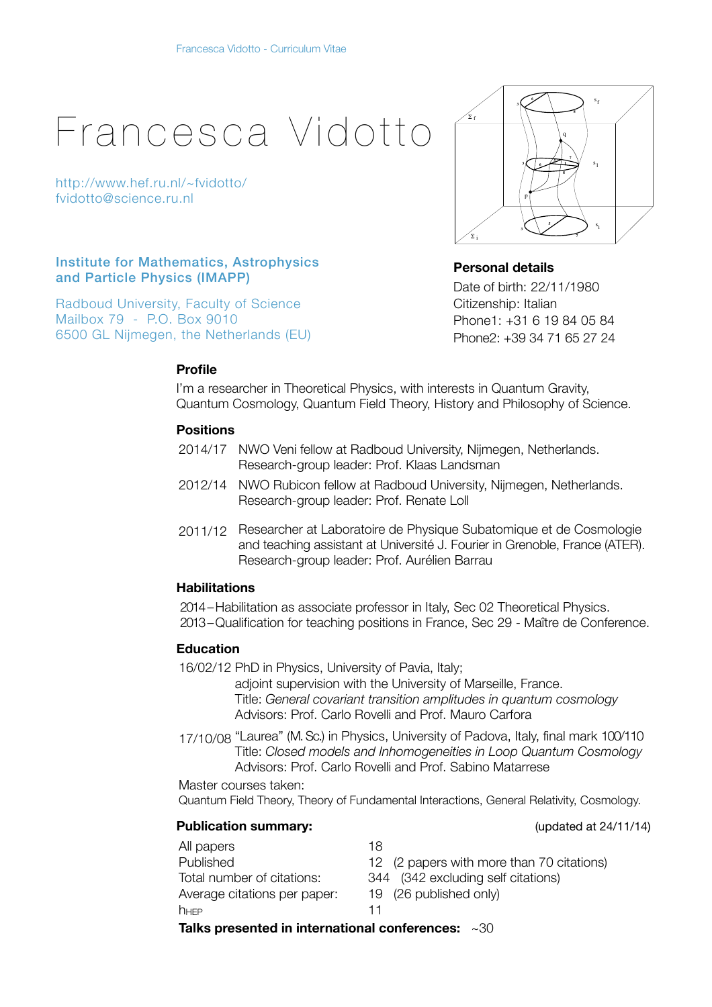# Francesca Vidotto

<http://www.hef.ru.nl/~fvidotto/> [fvidotto@science.ru.nl](mailto:vidotto@cpt.univ-mrs.fr)

# Institute for Mathematics, Astrophysics and Particle Physics (IMAPP)

Radboud University, Faculty of Science Mailbox 79 - P.O. Box 9010 6500 GL Nijmegen, the Netherlands (EU)

# **Personal details**

f

Σ

i

Σ

Date of birth: 22/11/1980 Citizenship: Italian Phone1: +31 6 19 84 05 84 Phone2: +39 34 71 65 27 24

p

**3**

**3**

**5**

**7**

s

i

1

s

s<sub>f</sub>

q

**8 1** **7**

**8**

**5**

**6**

**6 3**

# **Profile**

I'm a researcher in Theoretical Physics, with interests in Quantum Gravity, Quantum Cosmology, Quantum Field Theory, History and Philosophy of Science.

# **Positions**

- 2014/17 NWO Veni fellow at Radboud University, Nijmegen, Netherlands. Research-group leader: Prof. Klaas Landsman
- 2012/14 NWO Rubicon fellow at Radboud University, Nijmegen, Netherlands. Research-group leader: Prof. Renate Loll
- 2011/12 Researcher at Laboratoire de Physique Subatomique et de Cosmologie and teaching assistant at Université J. Fourier in Grenoble, France (ATER). Research-group leader: Prof. Aurélien Barrau

### **Habilitations**

2014 – Habilitation as associate professor in Italy, Sec 02 Theoretical Physics. 2013 – Qualification for teaching positions in France, Sec 29 - Maître de Conference.

### **Education**

16/02/12 PhD in Physics, University of Pavia, Italy;

adjoint supervision with the University of Marseille, France. Title: *General covariant transition amplitudes in quantum cosmology* Advisors: Prof. Carlo Rovelli and Prof. Mauro Carfora

17/10/08 "Laurea" (M. Sc.) in Physics, University of Padova, Italy, final mark 100/110 Title: *Closed models and Inhomogeneities in Loop Quantum Cosmology* Advisors: Prof. Carlo Rovelli and Prof. Sabino Matarrese

Master courses taken: Quantum Field Theory, Theory of Fundamental Interactions, General Relativity, Cosmology.

# **Publication summary:**  $\qquad \qquad \qquad$  (updated at 24/11/14)

All papers 18 Published 12 (2 papers with more than 70 citations) Total number of citations: 344 (342 excluding self citations) Average citations per paper: 19 (26 published only)  $h_{\text{HFP}}$  11 **Talks presented in international conferences:** ~30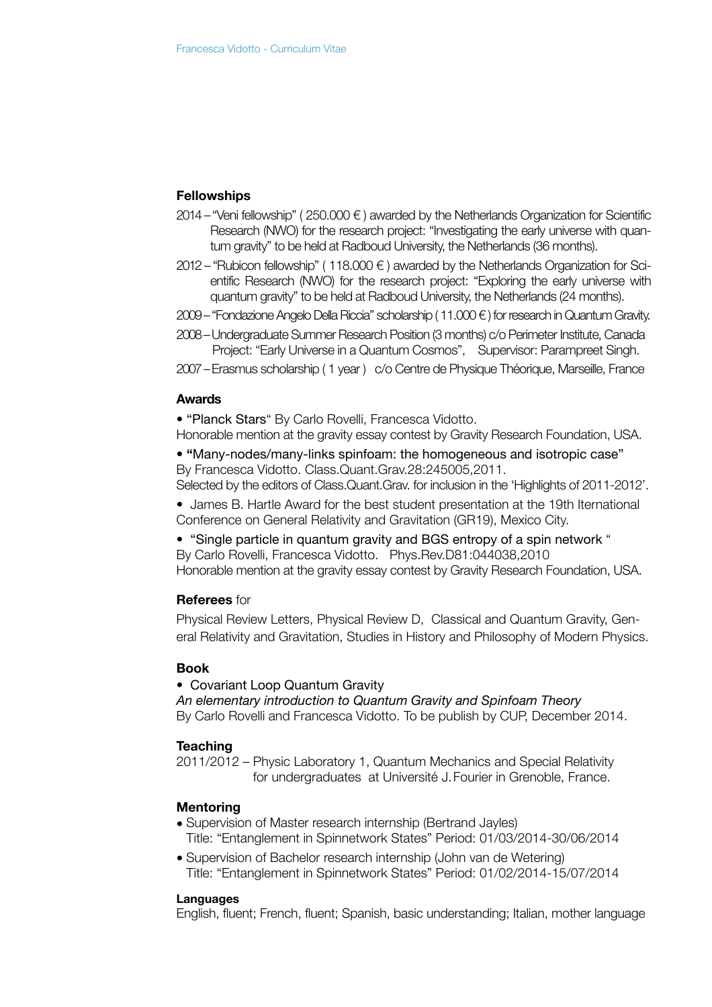# **Fellowships**

- 2014 "Veni fellowship" (250.000 €) awarded by the Netherlands Organization for Scientific Research (NWO) for the research project: "Investigating the early universe with quantum gravity" to be held at Radboud University, the Netherlands (36 months).
- $2012 -$  "Rubicon fellowship" (118.000  $\epsilon$ ) awarded by the Netherlands Organization for Scientific Research (NWO) for the research project: "Exploring the early universe with quantum gravity" to be held at Radboud University, the Netherlands (24 months).
- $2009 -$  "Fondazione Angelo Della Riccia" scholarship (11.000  $\epsilon$ ) for research in Quantum Gravity.
- 2008 Undergraduate Summer Research Position (3 months) c/o Perimeter Institute, Canada Project: "Early Universe in a Quantum Cosmos", Supervisor: Parampreet Singh.
- 2007 Erasmus scholarship ( 1 year ) c/o Centre de Physique Théorique, Marseille, France

#### **Awards**

• "Planck Stars" By Carlo Rovelli, Francesca Vidotto.

Honorable mention at the gravity essay contest by Gravity Research Foundation, USA.

• **"**Many-nodes/many-links spinfoam: the homogeneous and isotropic case" By [Francesca Vidotto.](http://arxiv.org/find/gr-qc/1/au:+Vidotto_F/0/1/0/all/0/1) Class.Quant.Grav.28:245005,2011.

Selected by the editors of Class.Quant.Grav. for inclusion in the 'Highlights of 2011-2012'.

• [James B. Hartle Award for the best student presentation at the 19th Iternational](http://www.gr19.com/)  Conference on General Relativity and Gravitation (GR19), Mexico City.

• "[Single particle in quantum gravity and BGS entropy of a spin network](http://www.slac.stanford.edu/spires/find/hep?key=8279691) " By Carlo Rovelli, Francesca Vidotto. Phys.Rev.D81:044038,2010 Honorable mention at the gravity essay contest by Gravity Research Foundation, USA.

### **Referees** for

Physical Review Letters, Physical Review D, Classical and Quantum Gravity, General Relativity and Gravitation, Studies in History and Philosophy of Modern Physics.

#### **Book**

#### •Covariant Loop Quantum Gravity

*An elementary introduction to Quantum Gravity and Spinfoam Theory* By Carlo Rovelli and [Francesca Vidotto](http://arxiv.org/find/gr-qc/1/au:+Vidotto_F/0/1/0/all/0/1). To be publish by CUP, December 2014.

# **Teaching**

2011/2012 – Physic Laboratory 1, Quantum Mechanics and Special Relativity for undergraduates at Université J. Fourier in Grenoble, France.

# **Mentoring**

- Supervision of Master research internship (Bertrand Jayles) Title: "Entanglement in Spinnetwork States" Period: 01/03/2014-30/06/2014
- Supervision of Bachelor research internship (John van de Wetering) Title: "Entanglement in Spinnetwork States" Period: 01/02/2014-15/07/2014

#### **Languages**

English, fluent; French, fluent; Spanish, basic understanding; Italian, mother language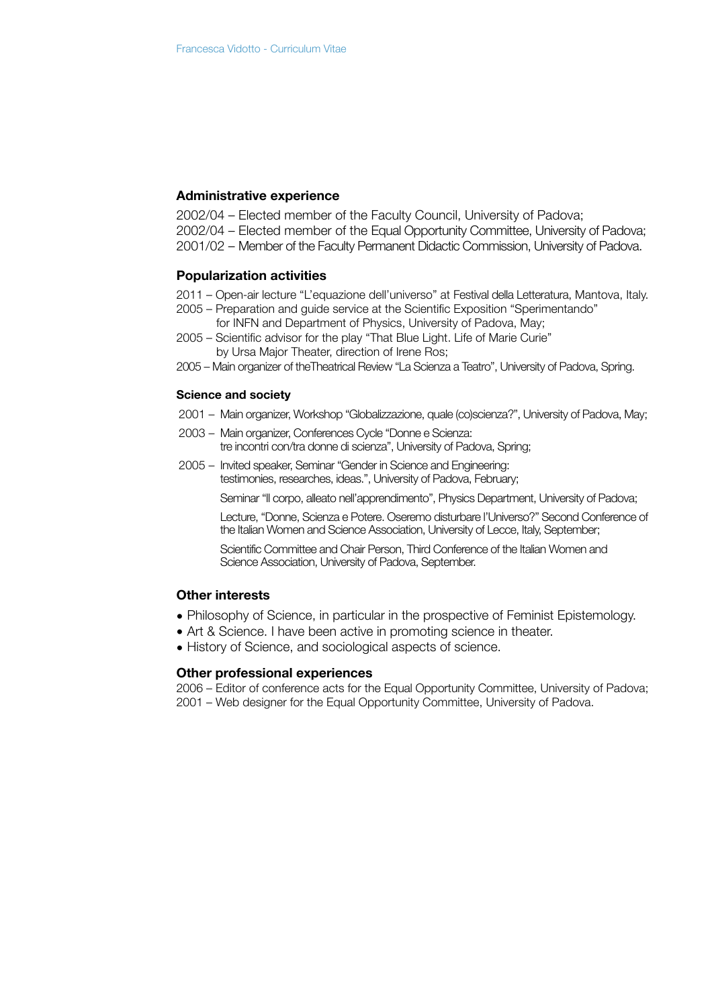#### **Administrative experience**

2002/04 – Elected member of the Faculty Council, University of Padova;

- 2002/04 Elected member of the Equal Opportunity Committee, University of Padova;
- 2001/02 Member of the Faculty Permanent Didactic Commission, University of Padova.

#### **Popularization activities**

- 2011 Open-air lecture "L'equazione dell'universo" at Festival della Letteratura, Mantova, Italy.
- 2005 Preparation and guide service at the Scientific Exposition "Sperimentando" for INFN and Department of Physics, University of Padova, May;
- 2005 Scientific advisor for the play "That Blue Light. Life of Marie Curie" by Ursa Major Theater, direction of Irene Ros;
- 2005 Main organizer of theTheatrical Review "La Scienza a Teatro", University of Padova, Spring.

#### **Science and society**

- 2001 Main organizer, Workshop "Globalizzazione, quale (co)scienza?", University of Padova, May;
- 2003 Main organizer, Conferences Cycle "Donne e Scienza: tre incontri con/tra donne di scienza", University of Padova, Spring;
- 2005 Invited speaker, Seminar "Gender in Science and Engineering: testimonies, researches, ideas.", University of Padova, February;

Seminar "Il corpo, alleato nell'apprendimento", Physics Department, University of Padova;

Lecture, "Donne, Scienza e Potere. Oseremo disturbare l'Universo?" Second Conference of the Italian Women and Science Association, University of Lecce, Italy, September;

Scientific Committee and Chair Person, Third Conference of the Italian Women and Science Association, University of Padova, September.

# **Other interests**

- Philosophy of Science, in particular in the prospective of Feminist Epistemology.
- Art & Science. I have been active in promoting science in theater.
- History of Science, and sociological aspects of science.

#### **Other professional experiences**

2006 – Editor of conference acts for the Equal Opportunity Committee, University of Padova; 2001 – Web designer for the Equal Opportunity Committee, University of Padova.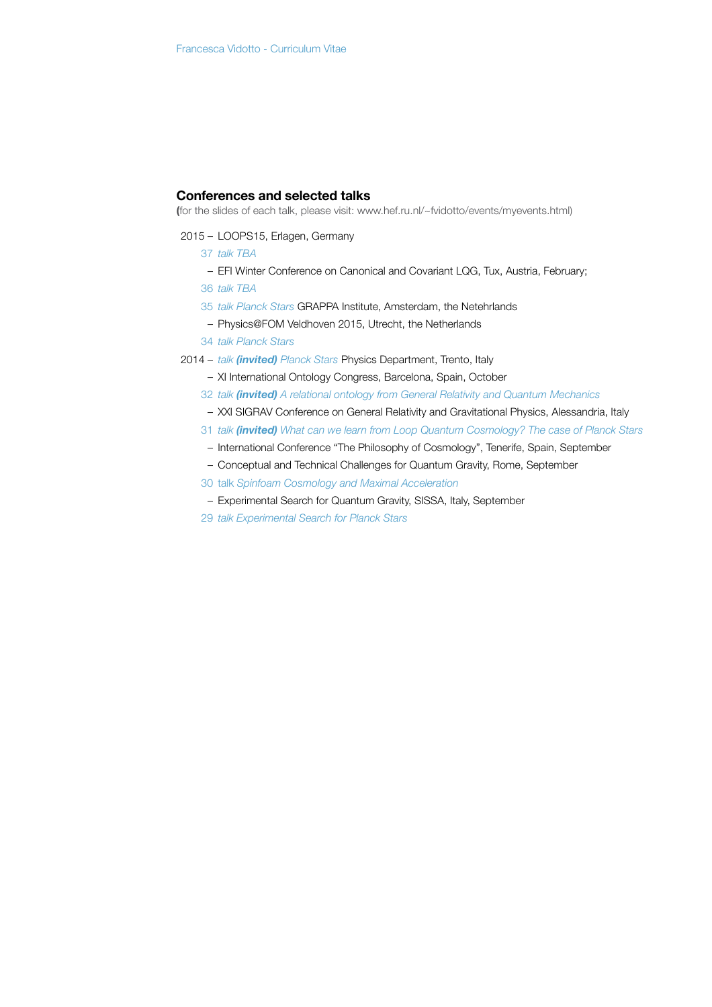#### **Conferences and selected talks**

**(**for the slides of each talk, please visit: [www.hef.ru.nl/~fvidotto/events/myevents.html](http://www.hef.ru.nl/~fvidotto/events/myevents.html))

- 2015 LOOPS15, Erlagen, Germany
	- 37 *talk TBA*
	- EFI Winter Conference on Canonical and Covariant LQG, Tux, Austria, February;
	- 36 *talk TBA*
	- 35 *talk Planck Stars* GRAPPA Institute, Amsterdam, the Netehrlands
	- Physics@FOM Veldhoven 2015, Utrecht, the Netherlands
	- 34 *talk Planck Stars*
- 2014 *talk (invited) Planck Stars* Physics Department, Trento, Italy
	- XI International Ontology Congress, Barcelona, Spain, October
	- 32 *talk (invited) A relational ontology from General Relativity and Quantum Mechanics*
	- XXI SIGRAV Conference on General Relativity and Gravitational Physics, Alessandria, Italy
	- 31 *talk (invited) What can we learn from Loop Quantum Cosmology? The case of Planck Stars*
	- International Conference "The Philosophy of Cosmology", Tenerife, Spain, September
	- Conceptual and Technical Challenges for Quantum Gravity, Rome, September
	- 30 talk *Spinfoam Cosmology and Maximal Acceleration*
	- Experimental Search for Quantum Gravity, SISSA, Italy, September
	- 29 *talk Experimental Search for Planck Stars*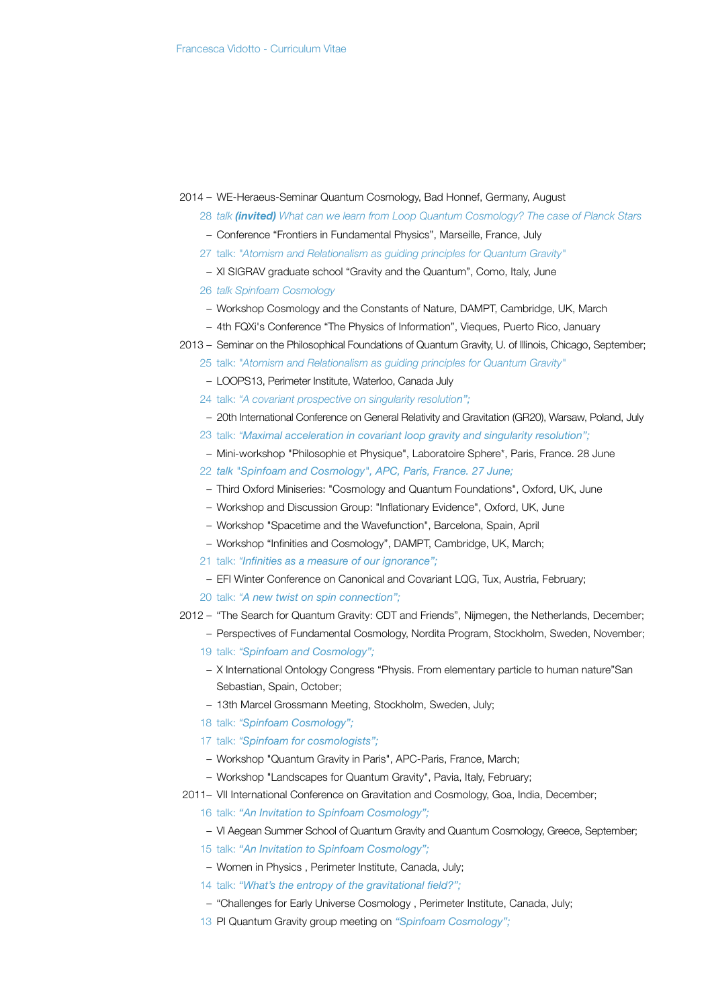#### 2014 – WE-Heraeus-Seminar Quantum Cosmology, Bad Honnef, Germany, August

- 28 *talk (invited) What can we learn from Loop Quantum Cosmology? The case of Planck Stars*
- Conference "Frontiers in Fundamental Physics", Marseille, France, July
- 27 talk: *["Atomism and Relationalism as guiding principles for Quantum Gravity"](http://www.hef.ru.nl/~fvidotto/materials/papers/Vidotto_Chicago_13.pdf)*
- XI SIGRAV graduate school "Gravity and the Quantum", Como, Italy, June
- 26 *talk Spinfoam Cosmology*
- Workshop Cosmology and the Constants of Nature, DAMPT, Cambridge, UK, March
- 4th FQXi's Conference "The Physics of Information", Vieques, Puerto Rico, January
- 2013 Seminar on the Philosophical Foundations of Quantum Gravity, U. of Illinois, Chicago, September;
	- 25 talk: *["Atomism and Relationalism as guiding principles for Quantum Gravity"](http://www.hef.ru.nl/~fvidotto/materials/papers/Vidotto_Chicago_13.pdf)*
	- LOOPS13, Perimeter Institute, Waterloo, Canada July
	- 24 talk: *"[A covariant prospective on singularity resolutio](http://www.slac.stanford.edu/spires/find/hep?key=8465665)n";*
	- 20th International Conference on General Relativity and Gravitation [\(GR20\)](http://gr20-amaldi10.edu.pl/), Warsaw, Poland, July
	- 23 talk: *"[Maximal acceleration in covariant loop gravity and singularity resolution"](http://www.slac.stanford.edu/spires/find/hep?key=8465665);*
	- Mini-workshop ["Philosophie et Physique",](http://www.sphere.univ-paris-diderot.fr/spip.php?article749&lang=en) Laboratoire Sphere\*, Paris, France. 28 June
	- 22 *talk ["Spinfoam and Cosmology",](http://www.hef.ru.nl/~fvidotto/materials/slides/Vidotto_APC_13.pdf) APC, Paris, France. 27 June;*
	- Third Oxford Miniseries: ["Cosmology and Quantum Foundations"](http://philcosmo.physics.ox.ac.uk/events), Oxford, UK, June
	- Workshop and Discussion Group: ["Inflationary Evidence",](http://philcosmo.physics.ox.ac.uk/sites/philcosmo.physics.ox.ac.uk/files/InflationaryEvidenceSchedule.pdf) Oxford, UK, June
	- Workshop ["Spacetime and the Wavefunction",](http://pagines.uab.cat/psts/wavefunction) Barcelona, Spain, April
	- Workshop "Infinities and Cosmology", DAMPT, Cambridge, UK, March;
	- 21 talk: *"Infinities as a measure of our ignorance";*
	- EFI Winter Conference on Canonical and Covariant LQG, Tux, Austria, February;
	- 20 talk: *"A new twist on spin connection";*
- 2012 "The Search for Quantum Gravity: CDT and Friends", Nijmegen, the Netherlands, December;

– Perspectives of Fundamental Cosmology, Nordita Program, Stockholm, Sweden, November;

- 19 talk: *"Spinfoam and Cosmology";*
- X International Ontology Congress "Physis. From elementary particle to human nature"San Sebastian, Spain, October;
- 13th Marcel Grossmann Meeting, Stockholm, Sweden, July;
- 18 talk: *"Spinfoam Cosmology";*
- 17 talk: *"Spinfoam for cosmologists";*
- Workshop "Quantum Gravity in Paris", APC-Paris, France, March;
- Workshop "Landscapes for Quantum Gravity", Pavia, Italy, February;

2011– [VII International Conference on Gravitation and Cosmology, Goa, India, December;](http://www.tifr.res.in/~icgc2011)

- 16 talk: *"An Invitation to Spinfoam Cosmology";*
- VI Aegean Summer School of Quantum Gravity and Quantum Cosmology, Greece, September;
- 15 talk: *"An Invitation to Spinfoam Cosmology";*
- [Women in Physics](http://www.perimeterinstitute.ca/Events/Women_in_Physics_Canada/Women_in_Physics_Canada/) , Perimeter Institute, Canada, July;
- 14 talk: *"What's the entropy of the gravitational field?";*
- ["Challenges for Early Universe Cosmology](http://www.perimeterinstitute.ca/Events/Challenges_for_Early_Universe_Cosmology/Challenges_for_Early_Universe_Cosmology/) , Perimeter Institute, Canada, July;
- 13 PI Quantum Gravity group meeting on *"Spinfoam Cosmology";*